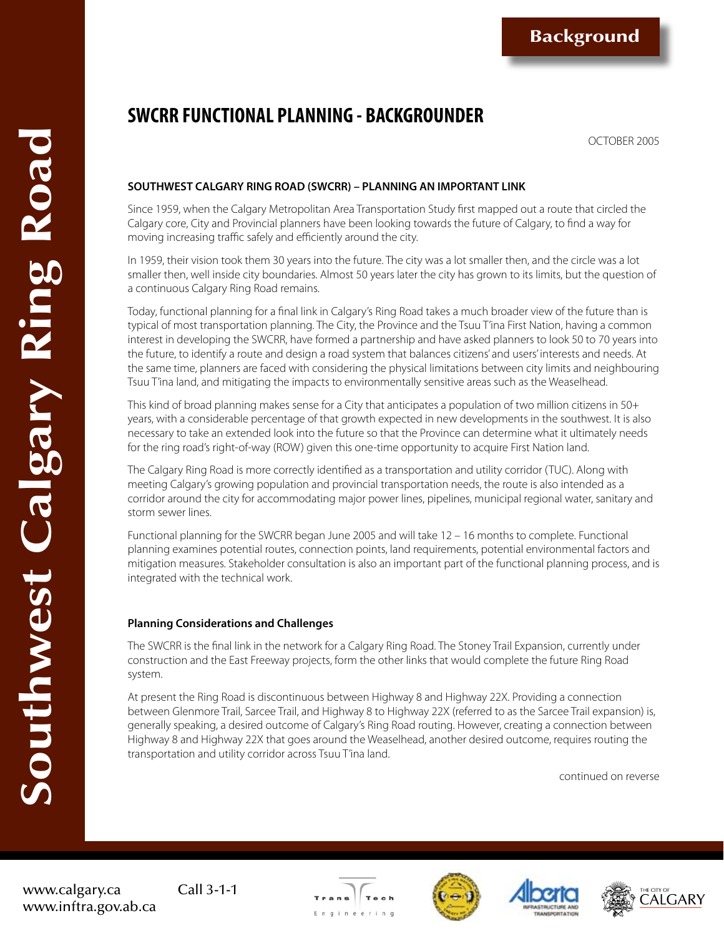**Background**

# **SWCRR FUNCTIONAL PLANNING - BACKGROUNDER**

OCTOBER 2005

# **SOUTHWEST CALGARY RING ROAD (SWCRR) – PLANNING AN IMPORTANT LINK**

Since 1959, when the Calgary Metropolitan Area Transportation Study first mapped out a route that circled the Calgary core, City and Provincial planners have been looking towards the future of Calgary, to find a way for moving increasing traffic safely and efficiently around the city.

In 1959, their vision took them 30 years into the future. The city was a lot smaller then, and the circle was a lot smaller then, well inside city boundaries. Almost 50 years later the city has grown to its limits, but the question of a continuous Calgary Ring Road remains.

Today, functional planning for a final link in Calgary's Ring Road takes a much broader view of the future than is typical of most transportation planning. The City, the Province and the Tsuu T'ina First Nation, having a common interest in developing the SWCRR, have formed a partnership and have asked planners to look 50 to 70 years into the future, to identify a route and design a road system that balances citizens' and users' interests and needs. At the same time, planners are faced with considering the physical limitations between city limits and neighbouring Tsuu T'ina land, and mitigating the impacts to environmentally sensitive areas such as the Weaselhead.

This kind of broad planning makes sense for a City that anticipates a population of two million citizens in 50+ years, with a considerable percentage of that growth expected in new developments in the southwest. It is also necessary to take an extended look into the future so that the Province can determine what it ultimately needs for the ring road's right-of-way (ROW) given this one-time opportunity to acquire First Nation land.

The Calgary Ring Road is more correctly identified as a transportation and utility corridor (TUC). Along with meeting Calgary's growing population and provincial transportation needs, the route is also intended as a corridor around the city for accommodating major power lines, pipelines, municipal regional water, sanitary and storm sewer lines.

Functional planning for the SWCRR began June 2005 and will take 12 – 16 months to complete. Functional planning examines potential routes, connection points, land requirements, potential environmental factors and mitigation measures. Stakeholder consultation is also an important part of the functional planning process, and is integrated with the technical work.

### **Planning Considerations and Challenges**

The SWCRR is the final link in the network for a Calgary Ring Road. The Stoney Trail Expansion, currently under construction and the East Freeway projects, form the other links that would complete the future Ring Road system.

At present the Ring Road is discontinuous between Highway 8 and Highway 22X. Providing a connection between Glenmore Trail, Sarcee Trail, and Highway 8 to Highway 22X (referred to as the Sarcee Trail expansion) is, generally speaking, a desired outcome of Calgary's Ring Road routing. However, creating a connection between Highway 8 and Highway 22X that goes around the Weaselhead, another desired outcome, requires routing the transportation and utility corridor across Tsuu T'ina land.

continued on reverse

www.calgary.ca Call 3-1-1 www.inftra.gov.ab.ca